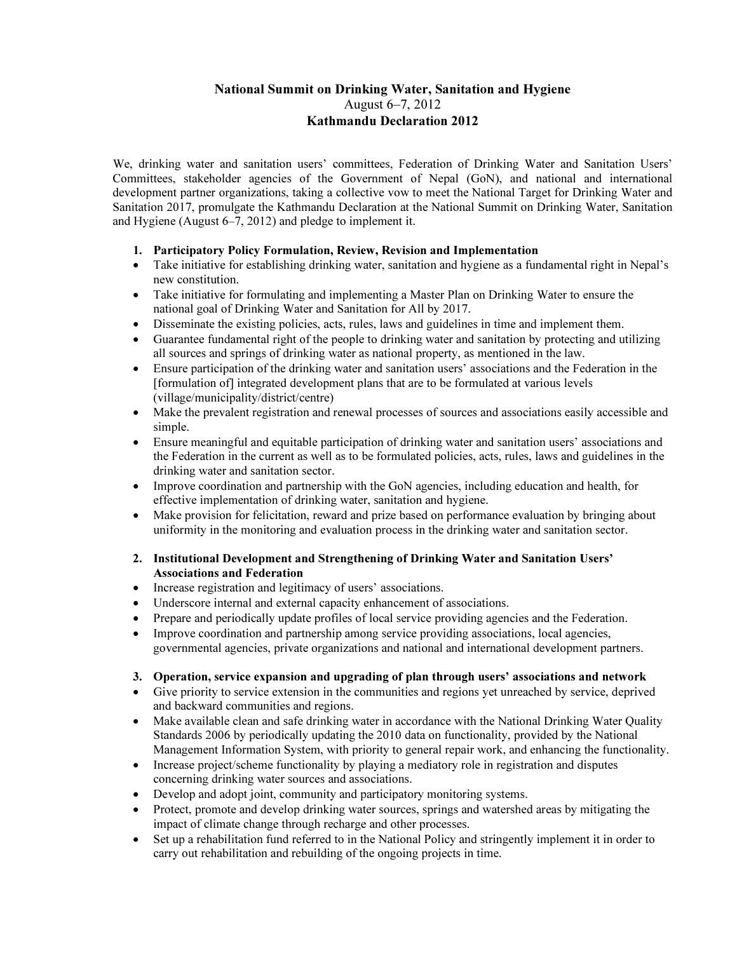# National Summit on Drinking Water, Sanitation and Hygiene August 6–7, 2012 Kathmandu Declaration 2012

We, drinking water and sanitation users' committees, Federation of Drinking Water and Sanitation Users' Committees, stakeholder agencies of the Government of Nepal (GoN), and national and international development partner organizations, taking a collective vow to meet the National Target for Drinking Water and Sanitation 2017, promulgate the Kathmandu Declaration at the National Summit on Drinking Water, Sanitation and Hygiene (August 6–7, 2012) and pledge to implement it.

- 1. Participatory Policy Formulation, Review, Revision and Implementation
- Take initiative for establishing drinking water, sanitation and hygiene as a fundamental right in Nepal's new constitution.
- Take initiative for formulating and implementing a Master Plan on Drinking Water to ensure the national goal of Drinking Water and Sanitation for All by 2017.
- Disseminate the existing policies, acts, rules, laws and guidelines in time and implement them.
- Guarantee fundamental right of the people to drinking water and sanitation by protecting and utilizing all sources and springs of drinking water as national property, as mentioned in the law.
- Ensure participation of the drinking water and sanitation users' associations and the Federation in the [formulation of] integrated development plans that are to be formulated at various levels (village/municipality/district/centre)
- Make the prevalent registration and renewal processes of sources and associations easily accessible and simple.
- Ensure meaningful and equitable participation of drinking water and sanitation users' associations and the Federation in the current as well as to be formulated policies, acts, rules, laws and guidelines in the drinking water and sanitation sector.
- Improve coordination and partnership with the GoN agencies, including education and health, for effective implementation of drinking water, sanitation and hygiene.
- Make provision for felicitation, reward and prize based on performance evaluation by bringing about uniformity in the monitoring and evaluation process in the drinking water and sanitation sector.

### 2. Institutional Development and Strengthening of Drinking Water and Sanitation Users' Associations and Federation

- Increase registration and legitimacy of users' associations.
- Underscore internal and external capacity enhancement of associations.
- Prepare and periodically update profiles of local service providing agencies and the Federation.
- Improve coordination and partnership among service providing associations, local agencies, governmental agencies, private organizations and national and international development partners.

#### 3. Operation, service expansion and upgrading of plan through users' associations and network

- Give priority to service extension in the communities and regions yet unreached by service, deprived and backward communities and regions.
- Make available clean and safe drinking water in accordance with the National Drinking Water Quality Standards 2006 by periodically updating the 2010 data on functionality, provided by the National Management Information System, with priority to general repair work, and enhancing the functionality.
- Increase project/scheme functionality by playing a mediatory role in registration and disputes concerning drinking water sources and associations.
- Develop and adopt joint, community and participatory monitoring systems.
- Protect, promote and develop drinking water sources, springs and watershed areas by mitigating the impact of climate change through recharge and other processes.
- Set up a rehabilitation fund referred to in the National Policy and stringently implement it in order to carry out rehabilitation and rebuilding of the ongoing projects in time.